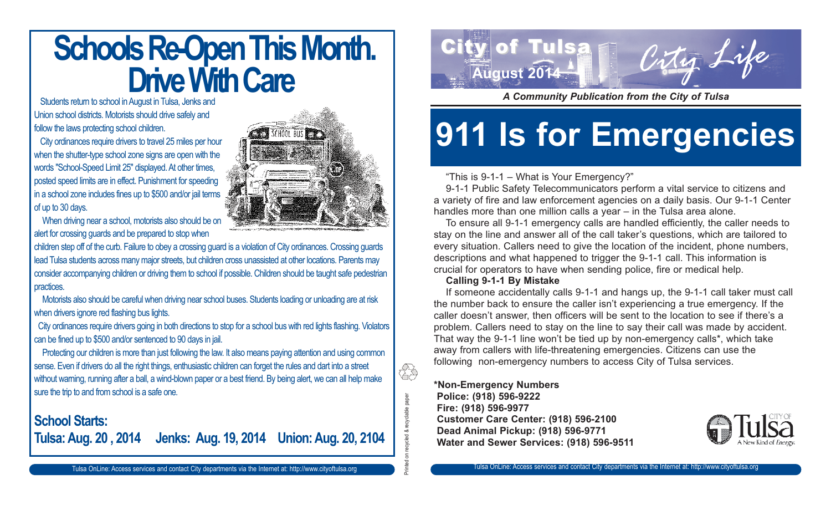## **Schools Re-Open This Month. Drive With Care**

Students return to school in August in Tulsa, Jenks and Union school districts. Motorists should drive safely and follow the laws protecting school children.

City ordinances require drivers to travel 25 miles per hour when the shutter-type school zone signs are open with the words "School-Speed Limit 25" displayed. At other times, posted speed limits are in effect. Punishment for speeding in a school zone includes fines up to \$500 and/or jail terms of up to 30 days.



When driving near a school, motorists also should be on alert for crossing guards and be prepared to stop when

children step off of the curb. Failure to obey a crossing guard is a violation of City ordinances. Crossing guards lead Tulsa students across many major streets, but children cross unassisted at other locations. Parents may consider accompanying children or driving them to school if possible. Children should be taught safe pedestrian practices.

Motorists also should be careful when driving near school buses. Students loading or unloading are at risk when drivers ignore red flashing bus lights.

City ordinances require drivers going in both directions to stop for a school bus with red lights flashing. Violators can be fined up to \$500 and/or sentenced to 90 days in jail.

Protecting our children is more than just following the law. It also means paying attention and using common sense. Even if drivers do all the right things, enthusiastic children can forget the rules and dart into a street without warning, running after a ball, a wind-blown paper or a best friend. By being alert, we can all help make sure the trip to and from school is a safe one.

### **School Starts: Tulsa: Aug. 20 , 2014 Jenks: Aug. 19, 2014 Union: Aug. 20, 2104**



*A Community Publication from the City of Tulsa*

# **911 Is for Emergencies**

#### "This is 9-1-1 – What is Your Emergency?"

9-1-1 Public Safety Telecommunicators perform a vital service to citizens and a variety of fire and law enforcement agencies on a daily basis. Our 9-1-1 Center handles more than one million calls a year – in the Tulsa area alone.

To ensure all 9-1-1 emergency calls are handled efficiently, the caller needs to stay on the line and answer all of the call taker's questions, which are tailored to every situation. Callers need to give the location of the incident, phone numbers, descriptions and what happened to trigger the 9-1-1 call. This information is crucial for operators to have when sending police, fire or medical help.

#### **Calling 9-1-1 By Mistake**

If someone accidentally calls 9-1-1 and hangs up, the 9-1-1 call taker must call the number back to ensure the caller isn't experiencing a true emergency. If the caller doesn't answer, then officers will be sent to the location to see if there's a problem. Callers need to stay on the line to say their call was made by accident. That way the 9-1-1 line won't be tied up by non-emergency calls\*, which take away from callers with life-threatening emergencies. Citizens can use the following non-emergency numbers to access City of Tulsa services.

#### **\*Non-Emergency Numbers Police: (918) 596-9222 Fire: (918) 596-9977 Customer Care Center: (918) 596-2100 Dead Animal Pickup: (918) 596-9771 Water and Sewer Services: (918) 596-9511**

Printed on recycled & recyclable paper

clable paper

ÊS